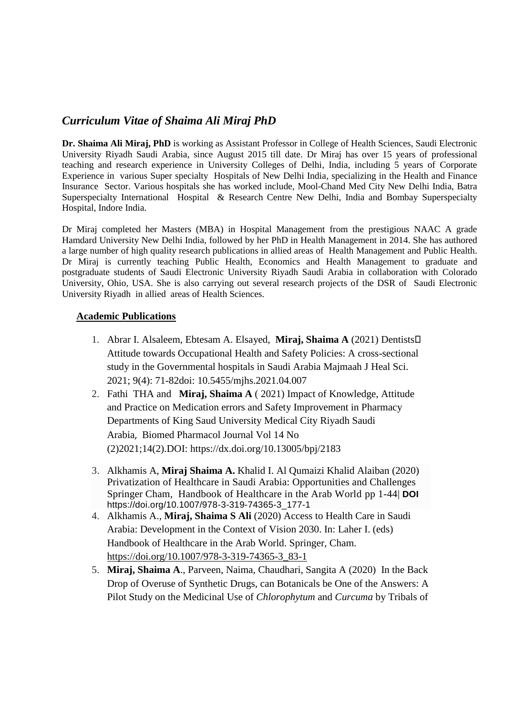## *Curriculum Vitae of Shaima Ali Miraj PhD*

**Dr. Shaima Ali Miraj, PhD** is working as Assistant Professor in College of Health Sciences, Saudi Electronic University Riyadh Saudi Arabia, since August 2015 till date. Dr Miraj has over 15 years of professional teaching and research experience in University Colleges of Delhi, India, including 5 years of Corporate Experience in various Super specialty Hospitals of New Delhi India, specializing in the Health and Finance Insurance Sector. Various hospitals she has worked include, Mool-Chand Med City New Delhi India, Batra Superspecialty International Hospital & Research Centre New Delhi, India and Bombay Superspecialty Hospital, Indore India.

Dr Miraj completed her Masters (MBA) in Hospital Management from the prestigious NAAC A grade Hamdard University New Delhi India, followed by her PhD in Health Management in 2014. She has authored a large number of high quality research publications in allied areas of Health Management and Public Health. Dr Miraj is currently teaching Public Health, Economics and Health Management to graduate and postgraduate students of Saudi Electronic University Riyadh Saudi Arabia in collaboration with Colorado University, Ohio, USA. She is also carrying out several research projects of the DSR of Saudi Electronic University Riyadh in allied areas of Health Sciences.

## **Academic Publications**

- 1. Abrar I. Alsaleem, Ebtesam A. Elsayed, **Miraj, Shaima A** (2021) Dentists' Attitude towards Occupational Health and Safety Policies: A cross-sectional study in the Governmental hospitals in Saudi Arabia [Majmaah J Heal Sci.](https://www.bibliomed.org/?jtt=1658-645X) 2021; 9(4): 71-82doi: [10.5455/mjhs.2021.04.007](https://dx.doi.org/10.5455/mjhs.2021.04.007)
- 2. Fathi THA and **Miraj, Shaima A** ( 2021) [Impact of Knowledge, Attitude](https://biomedpharmajournal.org/vol14no2/impact-of-knowledge-attitude-and-practice-on-medication-errors-and-safety-improvement-in-pharmacy-departments-of-king-saud-university-medical-city-riyadh-saudi-arabia/)  [and Practice on Medication errors and Safety Improvement in Pharmacy](https://biomedpharmajournal.org/vol14no2/impact-of-knowledge-attitude-and-practice-on-medication-errors-and-safety-improvement-in-pharmacy-departments-of-king-saud-university-medical-city-riyadh-saudi-arabia/)  [Departments of King Saud University Medical City Riyadh Saudi](https://biomedpharmajournal.org/vol14no2/impact-of-knowledge-attitude-and-practice-on-medication-errors-and-safety-improvement-in-pharmacy-departments-of-king-saud-university-medical-city-riyadh-saudi-arabia/)  [Arabia](https://biomedpharmajournal.org/vol14no2/impact-of-knowledge-attitude-and-practice-on-medication-errors-and-safety-improvement-in-pharmacy-departments-of-king-saud-university-medical-city-riyadh-saudi-arabia/), Biomed Pharmacol Journal Vol 14 No (2)2021;14(2).DOI: <https://dx.doi.org/10.13005/bpj/2183>
- 3. Alkhamis A, **Miraj Shaima A.** Khalid I. Al Qumaizi Khalid Alaiban (2020) Privatization of Healthcare in Saudi Arabia: Opportunities and Challenges Springer Cham, [Handbook of Healthcare in the Arab World](https://link.springer.com/referencework/10.1007/978-3-319-74365-3) pp 1-44| **DOI**  https://doi.org/10.1007/978-3-319-74365-3\_177-1
- 4. Alkhamis A., **Miraj, Shaima S Ali** (2020) Access to Health Care in Saudi Arabia: Development in the Context of Vision 2030. In: Laher I. (eds) Handbook of Healthcare in the Arab World. Springer, Cham. [https://doi.org/10.1007/978-3-319-74365-3\\_83-1](https://doi.org/10.1007/978-3-319-74365-3_83-1)
- 5. **[Miraj, Shaima A](https://fr.art1lib.org/g/Miraj,%20Shaima%20S.A.)**., [Parveen, Naima,](https://fr.art1lib.org/g/Parveen,%20Naima) Chaudhari, Sangita A (2020) In the Back Drop of Overuse of Synthetic Drugs, can Botanicals be One of the Answers: A Pilot Study on the Medicinal Use of *Chlorophytum* and *Curcuma* by Tribals of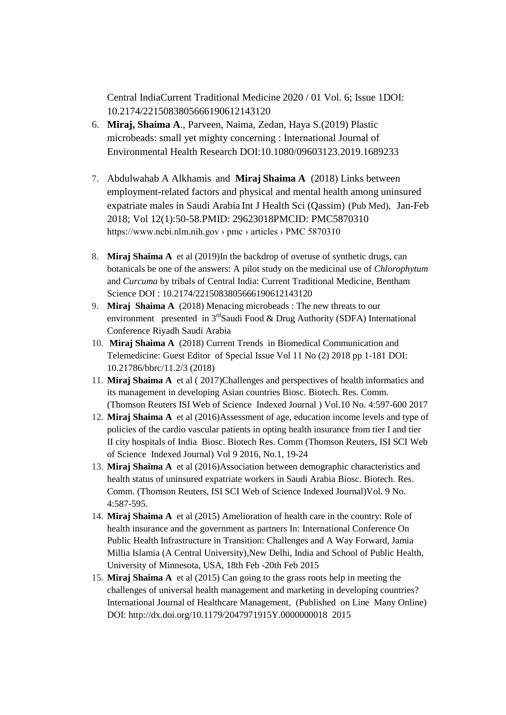Central Indi[aCurrent Traditional Medicine](https://fr.art1lib.org/journal/35564) [2020 / 01 Vol. 6; Issue](https://fr.art1lib.org/journal/35564/6/1) 1DOI: 10.2174/2215083805666190612143120

- 6. **[Miraj, Shaima A](https://fr.art1lib.org/g/Miraj,%20Shaima%20S.)**., [Parveen, Naima,](https://fr.art1lib.org/g/Parveen,%20Naima) [Zedan, Haya S.\(](https://fr.art1lib.org/g/Zedan,%20Haya%20S.)2019) Plastic microbeads: small yet mighty concerning : International Journal of Environmental Health Research DOI:10.1080/09603123.2019.1689233
- 7. [Abdulwahab A Alkhamis](https://pubmed.ncbi.nlm.nih.gov/?term=Alkhamis+AA&cauthor_id=29623018) and **[Miraj](https://pubmed.ncbi.nlm.nih.gov/?term=Miraj+SSA&cauthor_id=29623018) Shaima A** (2018) Links between employment-related factors and physical and mental health among uninsured expatriate males in Saudi Arabia Int J Health Sci (Qassim) (Pub Med), Jan-Feb 2018; Vol 12(1):50-58.PMID: 29623018PMCID: [PMC5870310](http://www.ncbi.nlm.nih.gov/pmc/articles/pmc5870310/) https://www.ncbi.nlm.nih.gov › pmc › articles › PMC 5870310
- 8. **Miraj Shaima A** et al (2019)In the backdrop of overuse of synthetic drugs, can botanicals be one of the answers: A pilot study on the medicinal use of *Chlorophytum*  and *Curcuma* by tribals of Central India: Current Traditional Medicine, Bentham Science DOI : 10.2174/2215083805666190612143120
- 9. **Miraj Shaima A** (2018) Menacing microbeads : The new threats to our environment presented in  $3<sup>rd</sup>Saudi$  Food & Drug Authority (SDFA) International Conference Riyadh Saudi Arabia
- 10. **Miraj Shaima A** (2018) Current Trends in Biomedical Communication and Telemedicine: Guest Editor of Special Issue Vol 11 No (2) 2018 pp 1-181 DOI: 10.21786/bbrc/11.2/3 (2018)
- 11. **Miraj Shaima A** et al ( 2017)Challenges and perspectives of health informatics and its management in developing Asian countries Biosc. Biotech. Res. Comm. (Thomson Reuters ISI Web of Science Indexed Journal ) Vol.10 No. 4:597-600 2017
- 12. **Miraj Shaima A** et al (2016)Assessment of age, education income levels and type of policies of the cardio vascular patients in opting health insurance from tier I and tier II city hospitals of India Biosc. Biotech Res. Comm (Thomson Reuters, ISI SCI Web of Science Indexed Journal) Vol 9 2016, No.1, 19-24
- 13. **Miraj Shaima A** et al (2016)Association between demographic characteristics and health status of uninsured expatriate workers in Saudi Arabia Biosc. Biotech. Res. Comm. (Thomson Reuters, ISI SCI Web of Science Indexed Journal)Vol. 9 No. 4:587-595.
- 14. **Miraj Shaima A** et al (2015) Amelioration of health care in the country: Role of health insurance and the government as partners In: International Conference On Public Health Infrastructure in Transition: Challenges and A Way Forward, Jamia Millia Islamia (A Central University),New Delhi, India and School of Public Health, University of Minnesota, USA, 18th Feb -20th Feb 2015
- 15. **Miraj Shaima A** et al (2015) Can going to the grass roots help in meeting the challenges of universal health management and marketing in developing countries? International Journal of Healthcare Management, (Published on Line Many Online) DOI: http://dx.doi.org/10.1179/2047971915Y.0000000018 2015